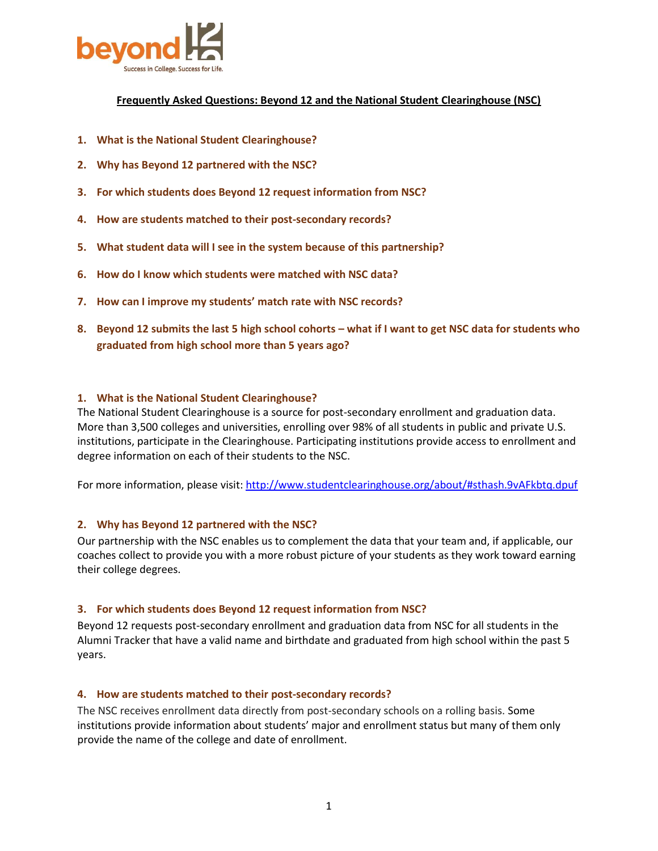

# **Frequently Asked Questions: Beyond 12 and the National Student Clearinghouse (NSC)**

- **1. [What is the National Student Clearinghouse?](#page-0-0)**
- **2. [Why has Beyond 12 partnered with the NSC?](#page-0-1)**
- **3. [For which students does Beyond 12 request information from NSC?](#page-0-2)**
- **4. [How are students matched to their post-secondary records?](#page-0-3)**
- **5. [What student data will I see in the system because of this partnership?](#page-1-0)**
- **6. [How do I know which students were matched with NSC data?](#page-1-1)**
- **7. How can I imp[rove my students' match rate with NSC records?](#page-1-2)**
- **8. [Beyond 12 submits the last 5 high school cohorts](#page-2-0) – what if I want to get NSC data for students who [graduated from high school more than 5 years ago?](#page-2-0)**

### <span id="page-0-0"></span>**1. What is the National Student Clearinghouse?**

The National Student Clearinghouse is a source for post-secondary enrollment and graduation data. More than 3,500 colleges and universities, enrolling over 98% of all students in public and private U.S. institutions, participate in the Clearinghouse. Participating institutions provide access to enrollment and degree information on each of their students to the NSC.

For more information, please visit[: http://www.studentclearinghouse.org/about/#sthash.9vAFkbtq.dpuf](http://www.studentclearinghouse.org/about/#sthash.9vAFkbtq.dpuf)

#### <span id="page-0-1"></span>**2. Why has Beyond 12 partnered with the NSC?**

Our partnership with the NSC enables us to complement the data that your team and, if applicable, our coaches collect to provide you with a more robust picture of your students as they work toward earning their college degrees.

#### <span id="page-0-2"></span>**3. For which students does Beyond 12 request information from NSC?**

Beyond 12 requests post-secondary enrollment and graduation data from NSC for all students in the Alumni Tracker that have a valid name and birthdate and graduated from high school within the past 5 years.

#### <span id="page-0-3"></span>**4. How are students matched to their post-secondary records?**

The NSC receives enrollment data directly from post-secondary schools on a rolling basis. Some institutions provide information about students' major and enrollment status but many of them only provide the name of the college and date of enrollment.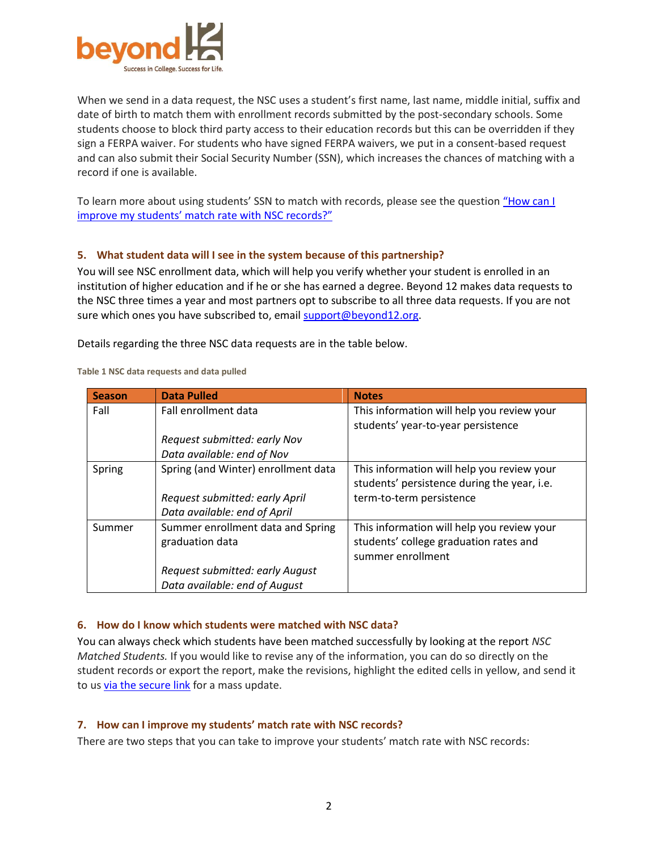

When we send in a data request, the NSC uses a student's first name, last name, middle initial, suffix and date of birth to match them with enrollment records submitted by the post-secondary schools. Some students choose to block third party access to their education records but this can be overridden if they sign a FERPA waiver. For students who have signed FERPA waivers, we put in a consent-based request and can also submit their Social Security Number (SSN), which increases the chances of matching with a record if one is available.

To learn more about using students' SSN to match with records, please see the question ["How can I](#page-1-2)  [improve my students' match rate with NSC records?"](#page-1-2)

## <span id="page-1-0"></span>**5. What student data will I see in the system because of this partnership?**

You will see NSC enrollment data, which will help you verify whether your student is enrolled in an institution of higher education and if he or she has earned a degree. Beyond 12 makes data requests to the NSC three times a year and most partners opt to subscribe to all three data requests. If you are not sure which ones you have subscribed to, email [support@beyond12.org.](mailto:support@beyond12.org)

Details regarding the three NSC data requests are in the table below.

**Table 1 NSC data requests and data pulled**

| <b>Season</b> | <b>Data Pulled</b>                  | <b>Notes</b>                                |
|---------------|-------------------------------------|---------------------------------------------|
| Fall          | Fall enrollment data                | This information will help you review your  |
|               |                                     | students' year-to-year persistence          |
|               | Request submitted: early Nov        |                                             |
|               | Data available: end of Nov          |                                             |
| Spring        | Spring (and Winter) enrollment data | This information will help you review your  |
|               |                                     | students' persistence during the year, i.e. |
|               | Request submitted: early April      | term-to-term persistence                    |
|               | Data available: end of April        |                                             |
| Summer        | Summer enrollment data and Spring   | This information will help you review your  |
|               | graduation data                     | students' college graduation rates and      |
|               |                                     | summer enrollment                           |
|               | Request submitted: early August     |                                             |
|               | Data available: end of August       |                                             |

## <span id="page-1-1"></span>**6. How do I know which students were matched with NSC data?**

You can always check which students have been matched successfully by looking at the report *NSC Matched Students.* If you would like to revise any of the information, you can do so directly on the student records or export the report, make the revisions, highlight the edited cells in yellow, and send it to u[s via the secure link](https://www.hightail.com/dropbox?dropbox=Beyond12-SecureFiles) for a mass update.

## <span id="page-1-2"></span>**7. How can I improve my students' match rate with NSC records?**

There are two steps that you can take to improve your students' match rate with NSC records: